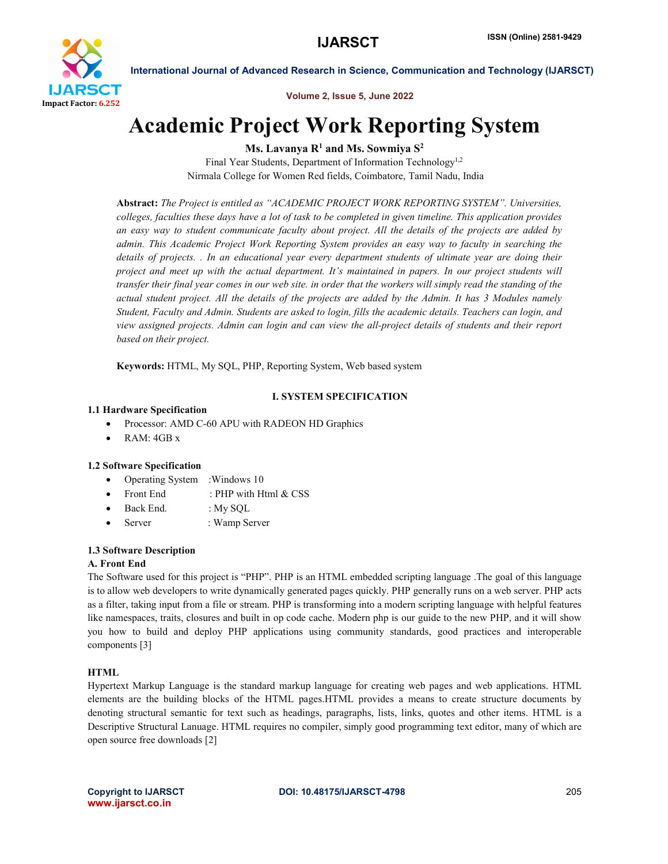

Volume 2, Issue 5, June 2022

# Academic Project Work Reporting System

Ms. Lavanya  $R<sup>1</sup>$  and Ms. Sowmiya  $S<sup>2</sup>$ 

Final Year Students, Department of Information Technology<sup>1,2</sup> Nirmala College for Women Red fields, Coimbatore, Tamil Nadu, India

Abstract: *The Project is entitled as "ACADEMIC PROJECT WORK REPORTING SYSTEM". Universities, colleges, faculties these days have a lot of task to be completed in given timeline. This application provides an easy way to student communicate faculty about project. All the details of the projects are added by admin. This Academic Project Work Reporting System provides an easy way to faculty in searching the details of projects. . In an educational year every department students of ultimate year are doing their project and meet up with the actual department. It's maintained in papers. In our project students will transfer their final year comes in our web site. in order that the workers will simply read the standing of the actual student project. All the details of the projects are added by the Admin. It has 3 Modules namely Student, Faculty and Admin. Students are asked to login, fills the academic details. Teachers can login, and view assigned projects. Admin can login and can view the all-project details of students and their report based on their project.*

Keywords: HTML, My SQL, PHP, Reporting System, Web based system

# I. SYSTEM SPECIFICATION

# 1.1 Hardware Specification

- Processor: AMD C-60 APU with RADEON HD Graphics
- RAM: 4GB x

# 1.2 Software Specification

- Operating System : Windows 10
- Front End : PHP with Html & CSS
- Back End. : My SQL
- Server : Wamp Server

# 1.3 Software Description

# A. Front End

The Software used for this project is "PHP". PHP is an HTML embedded scripting language .The goal of this language is to allow web developers to write dynamically generated pages quickly. PHP generally runs on a web server. PHP acts as a filter, taking input from a file or stream. PHP is transforming into a modern scripting language with helpful features like namespaces, traits, closures and built in op code cache. Modern php is our guide to the new PHP, and it will show you how to build and deploy PHP applications using community standards, good practices and interoperable components [3]

# **HTML**

Hypertext Markup Language is the standard markup language for creating web pages and web applications. HTML elements are the building blocks of the HTML pages.HTML provides a means to create structure documents by denoting structural semantic for text such as headings, paragraphs, lists, links, quotes and other items. HTML is a Descriptive Structural Lanuage. HTML requires no compiler, simply good programming text editor, many of which are open source free downloads [2]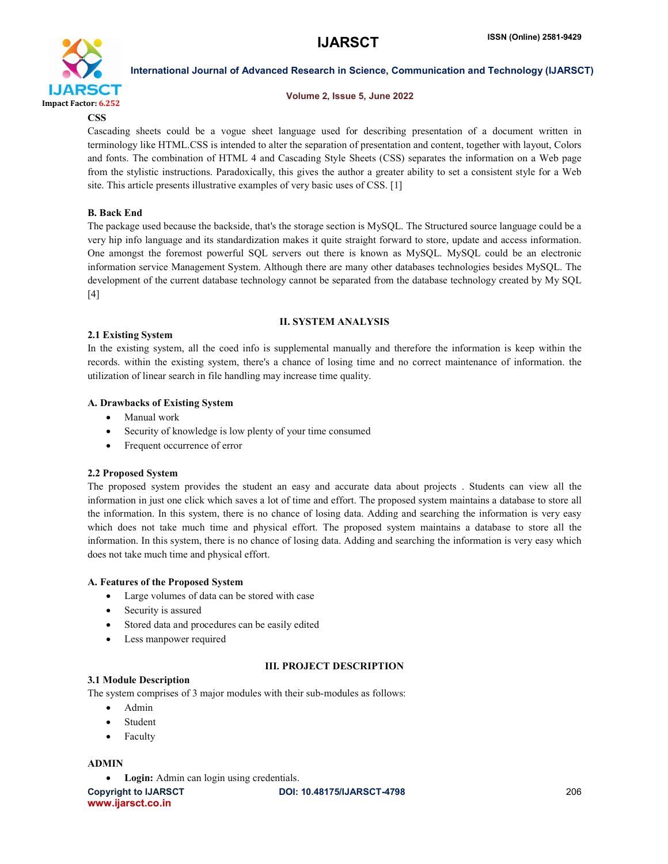

# Volume 2, Issue 5, June 2022

**CSS** 

Cascading sheets could be a vogue sheet language used for describing presentation of a document written in terminology like HTML.CSS is intended to alter the separation of presentation and content, together with layout, Colors and fonts. The combination of HTML 4 and Cascading Style Sheets (CSS) separates the information on a Web page from the stylistic instructions. Paradoxically, this gives the author a greater ability to set a consistent style for a Web site. This article presents illustrative examples of very basic uses of CSS. [1]

# B. Back End

The package used because the backside, that's the storage section is MySQL. The Structured source language could be a very hip info language and its standardization makes it quite straight forward to store, update and access information. One amongst the foremost powerful SQL servers out there is known as MySQL. MySQL could be an electronic information service Management System. Although there are many other databases technologies besides MySQL. The development of the current database technology cannot be separated from the database technology created by My SQL [4]

# II. SYSTEM ANALYSIS

# 2.1 Existing System

In the existing system, all the coed info is supplemental manually and therefore the information is keep within the records. within the existing system, there's a chance of losing time and no correct maintenance of information. the utilization of linear search in file handling may increase time quality.

# A. Drawbacks of Existing System

- Manual work
- Security of knowledge is low plenty of your time consumed
- Frequent occurrence of error

# 2.2 Proposed System

The proposed system provides the student an easy and accurate data about projects . Students can view all the information in just one click which saves a lot of time and effort. The proposed system maintains a database to store all the information. In this system, there is no chance of losing data. Adding and searching the information is very easy which does not take much time and physical effort. The proposed system maintains a database to store all the information. In this system, there is no chance of losing data. Adding and searching the information is very easy which does not take much time and physical effort.

# A. Features of the Proposed System

- Large volumes of data can be stored with case
- Security is assured
- Stored data and procedures can be easily edited
- Less manpower required

# III. PROJECT DESCRIPTION

# 3.1 Module Description

The system comprises of 3 major modules with their sub-modules as follows:

- Admin
- Student
- Faculty

# ADMIN

Login: Admin can login using credentials.

www.ijarsct.co.in

Copyright to IJARSCT DOI: 10.48175/IJARSCT-4798 206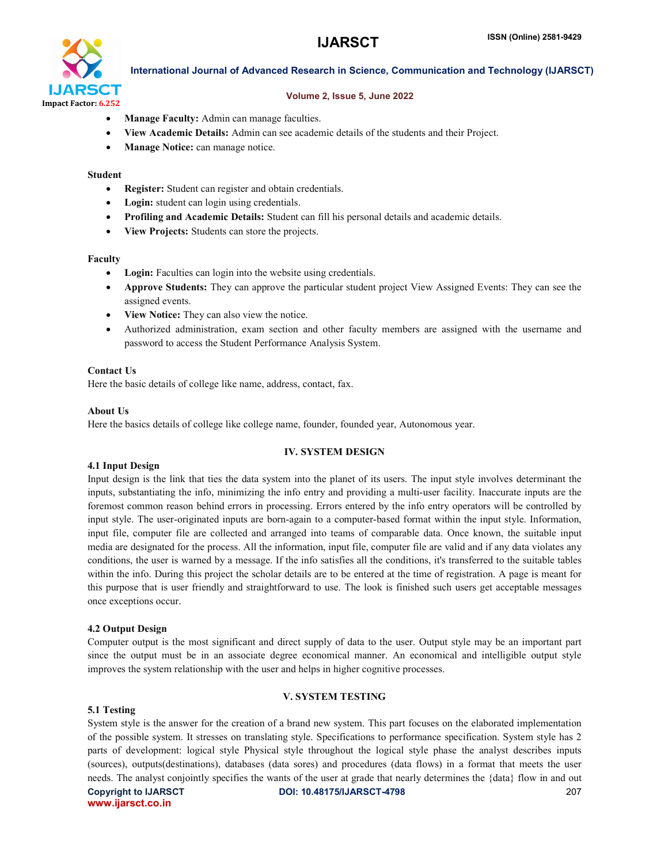

# Volume 2, Issue 5, June 2022

- Manage Faculty: Admin can manage faculties.
- View Academic Details: Admin can see academic details of the students and their Project.
- Manage Notice: can manage notice.

#### Student

- Register: Student can register and obtain credentials.
- Login: student can login using credentials.
- Profiling and Academic Details: Student can fill his personal details and academic details.
- View Projects: Students can store the projects.

#### Faculty

- Login: Faculties can login into the website using credentials.
- Approve Students: They can approve the particular student project View Assigned Events: They can see the assigned events.
- View Notice: They can also view the notice.
- Authorized administration, exam section and other faculty members are assigned with the username and password to access the Student Performance Analysis System.

# Contact Us

Here the basic details of college like name, address, contact, fax.

# About Us

Here the basics details of college like college name, founder, founded year, Autonomous year.

# IV. SYSTEM DESIGN

# 4.1 Input Design

Input design is the link that ties the data system into the planet of its users. The input style involves determinant the inputs, substantiating the info, minimizing the info entry and providing a multi-user facility. Inaccurate inputs are the foremost common reason behind errors in processing. Errors entered by the info entry operators will be controlled by input style. The user-originated inputs are born-again to a computer-based format within the input style. Information, input file, computer file are collected and arranged into teams of comparable data. Once known, the suitable input media are designated for the process. All the information, input file, computer file are valid and if any data violates any conditions, the user is warned by a message. If the info satisfies all the conditions, it's transferred to the suitable tables within the info. During this project the scholar details are to be entered at the time of registration. A page is meant for this purpose that is user friendly and straightforward to use. The look is finished such users get acceptable messages once exceptions occur.

# 4.2 Output Design

Computer output is the most significant and direct supply of data to the user. Output style may be an important part since the output must be in an associate degree economical manner. An economical and intelligible output style improves the system relationship with the user and helps in higher cognitive processes.

# V. SYSTEM TESTING

# 5.1 Testing

Copyright to IJARSCT DOI: 10.48175/IJARSCT-4798 207 www.ijarsct.co.in System style is the answer for the creation of a brand new system. This part focuses on the elaborated implementation of the possible system. It stresses on translating style. Specifications to performance specification. System style has 2 parts of development: logical style Physical style throughout the logical style phase the analyst describes inputs (sources), outputs(destinations), databases (data sores) and procedures (data flows) in a format that meets the user needs. The analyst conjointly specifies the wants of the user at grade that nearly determines the {data} flow in and out